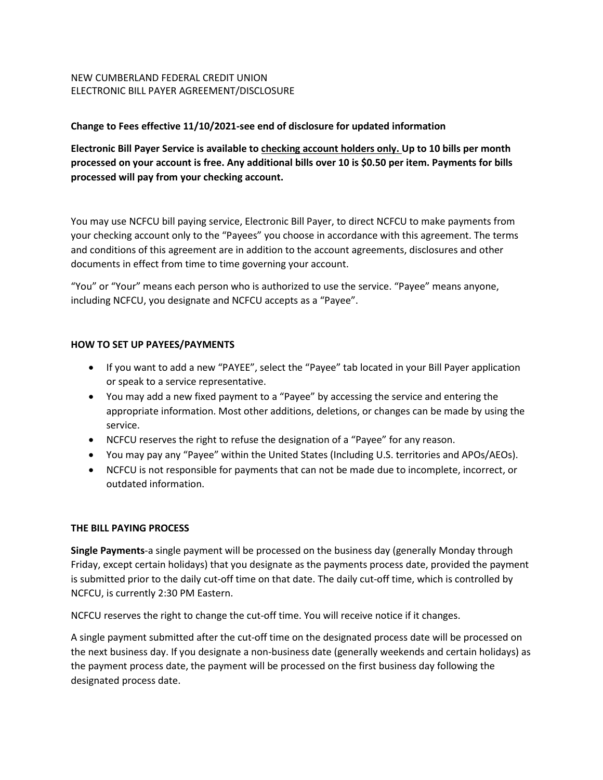## NEW CUMBERLAND FEDERAL CREDIT UNION ELECTRONIC BILL PAYER AGREEMENT/DISCLOSURE

## **Change to Fees effective 11/10/2021-see end of disclosure for updated information**

**Electronic Bill Payer Service is available to checking account holders only. Up to 10 bills per month processed on your account is free. Any additional bills over 10 is \$0.50 per item. Payments for bills processed will pay from your checking account.** 

You may use NCFCU bill paying service, Electronic Bill Payer, to direct NCFCU to make payments from your checking account only to the "Payees" you choose in accordance with this agreement. The terms and conditions of this agreement are in addition to the account agreements, disclosures and other documents in effect from time to time governing your account.

"You" or "Your" means each person who is authorized to use the service. "Payee" means anyone, including NCFCU, you designate and NCFCU accepts as a "Payee".

### **HOW TO SET UP PAYEES/PAYMENTS**

- If you want to add a new "PAYEE", select the "Payee" tab located in your Bill Payer application or speak to a service representative.
- You may add a new fixed payment to a "Payee" by accessing the service and entering the appropriate information. Most other additions, deletions, or changes can be made by using the service.
- NCFCU reserves the right to refuse the designation of a "Payee" for any reason.
- You may pay any "Payee" within the United States (Including U.S. territories and APOs/AEOs).
- NCFCU is not responsible for payments that can not be made due to incomplete, incorrect, or outdated information.

#### **THE BILL PAYING PROCESS**

**Single Payments**-a single payment will be processed on the business day (generally Monday through Friday, except certain holidays) that you designate as the payments process date, provided the payment is submitted prior to the daily cut-off time on that date. The daily cut-off time, which is controlled by NCFCU, is currently 2:30 PM Eastern.

NCFCU reserves the right to change the cut-off time. You will receive notice if it changes.

A single payment submitted after the cut-off time on the designated process date will be processed on the next business day. If you designate a non-business date (generally weekends and certain holidays) as the payment process date, the payment will be processed on the first business day following the designated process date.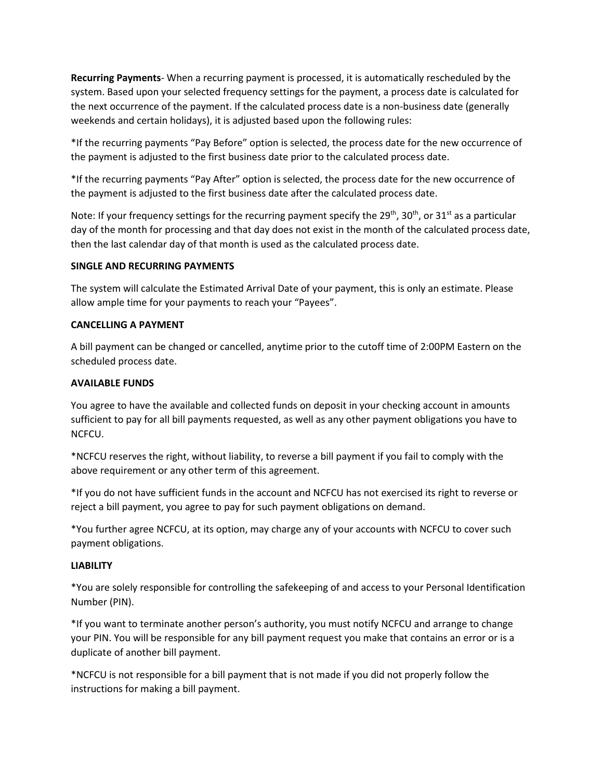**Recurring Payments**- When a recurring payment is processed, it is automatically rescheduled by the system. Based upon your selected frequency settings for the payment, a process date is calculated for the next occurrence of the payment. If the calculated process date is a non-business date (generally weekends and certain holidays), it is adjusted based upon the following rules:

\*If the recurring payments "Pay Before" option is selected, the process date for the new occurrence of the payment is adjusted to the first business date prior to the calculated process date.

\*If the recurring payments "Pay After" option is selected, the process date for the new occurrence of the payment is adjusted to the first business date after the calculated process date.

Note: If your frequency settings for the recurring payment specify the 29<sup>th</sup>, 30<sup>th</sup>, or 31<sup>st</sup> as a particular day of the month for processing and that day does not exist in the month of the calculated process date, then the last calendar day of that month is used as the calculated process date.

## **SINGLE AND RECURRING PAYMENTS**

The system will calculate the Estimated Arrival Date of your payment, this is only an estimate. Please allow ample time for your payments to reach your "Payees".

## **CANCELLING A PAYMENT**

A bill payment can be changed or cancelled, anytime prior to the cutoff time of 2:00PM Eastern on the scheduled process date.

### **AVAILABLE FUNDS**

You agree to have the available and collected funds on deposit in your checking account in amounts sufficient to pay for all bill payments requested, as well as any other payment obligations you have to NCFCU.

\*NCFCU reserves the right, without liability, to reverse a bill payment if you fail to comply with the above requirement or any other term of this agreement.

\*If you do not have sufficient funds in the account and NCFCU has not exercised its right to reverse or reject a bill payment, you agree to pay for such payment obligations on demand.

\*You further agree NCFCU, at its option, may charge any of your accounts with NCFCU to cover such payment obligations.

#### **LIABILITY**

\*You are solely responsible for controlling the safekeeping of and access to your Personal Identification Number (PIN).

\*If you want to terminate another person's authority, you must notify NCFCU and arrange to change your PIN. You will be responsible for any bill payment request you make that contains an error or is a duplicate of another bill payment.

\*NCFCU is not responsible for a bill payment that is not made if you did not properly follow the instructions for making a bill payment.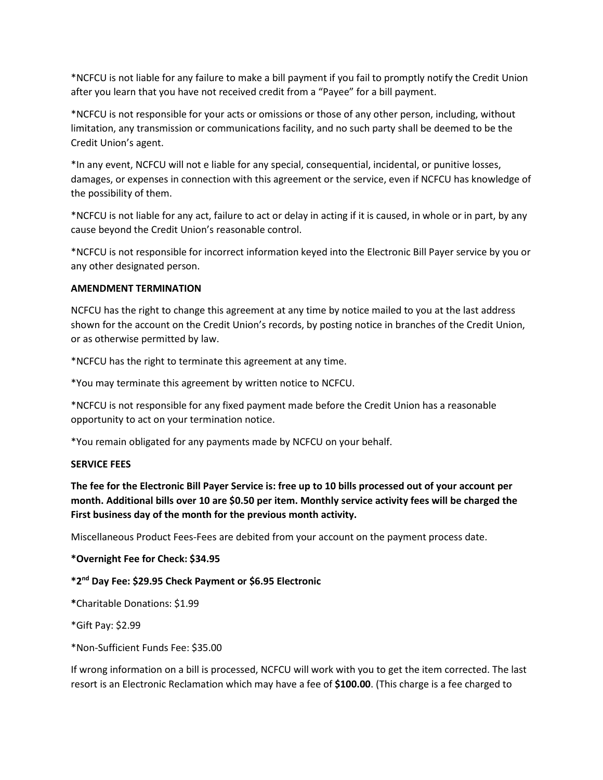\*NCFCU is not liable for any failure to make a bill payment if you fail to promptly notify the Credit Union after you learn that you have not received credit from a "Payee" for a bill payment.

\*NCFCU is not responsible for your acts or omissions or those of any other person, including, without limitation, any transmission or communications facility, and no such party shall be deemed to be the Credit Union's agent.

\*In any event, NCFCU will not e liable for any special, consequential, incidental, or punitive losses, damages, or expenses in connection with this agreement or the service, even if NCFCU has knowledge of the possibility of them.

\*NCFCU is not liable for any act, failure to act or delay in acting if it is caused, in whole or in part, by any cause beyond the Credit Union's reasonable control.

\*NCFCU is not responsible for incorrect information keyed into the Electronic Bill Payer service by you or any other designated person.

## **AMENDMENT TERMINATION**

NCFCU has the right to change this agreement at any time by notice mailed to you at the last address shown for the account on the Credit Union's records, by posting notice in branches of the Credit Union, or as otherwise permitted by law.

\*NCFCU has the right to terminate this agreement at any time.

\*You may terminate this agreement by written notice to NCFCU.

\*NCFCU is not responsible for any fixed payment made before the Credit Union has a reasonable opportunity to act on your termination notice.

\*You remain obligated for any payments made by NCFCU on your behalf.

## **SERVICE FEES**

**The fee for the Electronic Bill Payer Service is: free up to 10 bills processed out of your account per month. Additional bills over 10 are \$0.50 per item. Monthly service activity fees will be charged the First business day of the month for the previous month activity.**

Miscellaneous Product Fees-Fees are debited from your account on the payment process date.

# **\*Overnight Fee for Check: \$34.95**

# **\*2nd Day Fee: \$29.95 Check Payment or \$6.95 Electronic**

**\***Charitable Donations: \$1.99

\*Gift Pay: \$2.99

\*Non-Sufficient Funds Fee: \$35.00

If wrong information on a bill is processed, NCFCU will work with you to get the item corrected. The last resort is an Electronic Reclamation which may have a fee of **\$100.00**. (This charge is a fee charged to